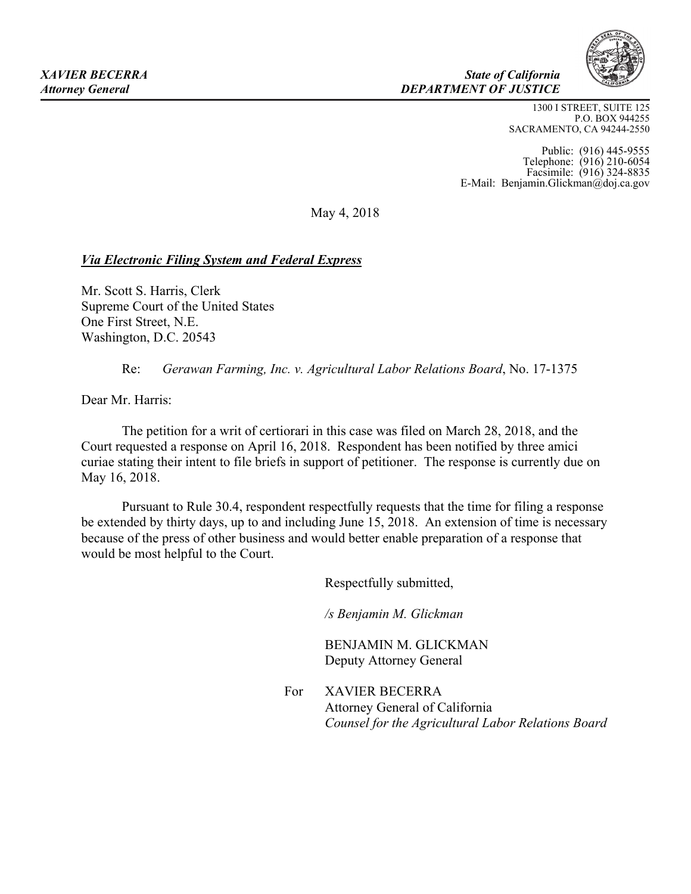

## *XAVIER BECERRA State of California Attorney General DEPARTMENT OF JUSTICE*

1300 I STREET, SUITE 125 P.O. BOX 944255 SACRAMENTO, CA 94244-2550

Public: (916) 445-9555 Telephone: (916) 210-6054 Facsimile: (916) 324-8835 E-Mail: Benjamin.Glickman@doj.ca.gov

May 4, 2018

## *Via Electronic Filing System and Federal Express*

Mr. Scott S. Harris, Clerk Supreme Court of the United States One First Street, N.E. Washington, D.C. 20543

Re: *Gerawan Farming, Inc. v. Agricultural Labor Relations Board*, No. 17-1375

Dear Mr. Harris:

The petition for a writ of certiorari in this case was filed on March 28, 2018, and the Court requested a response on April 16, 2018. Respondent has been notified by three amici curiae stating their intent to file briefs in support of petitioner. The response is currently due on May 16, 2018.

Pursuant to Rule 30.4, respondent respectfully requests that the time for filing a response be extended by thirty days, up to and including June 15, 2018. An extension of time is necessary because of the press of other business and would better enable preparation of a response that would be most helpful to the Court.

Respectfully submitted,

*/s Benjamin M. Glickman* 

BENJAMIN M. GLICKMAN Deputy Attorney General

For XAVIER BECERRA Attorney General of California *Counsel for the Agricultural Labor Relations Board*